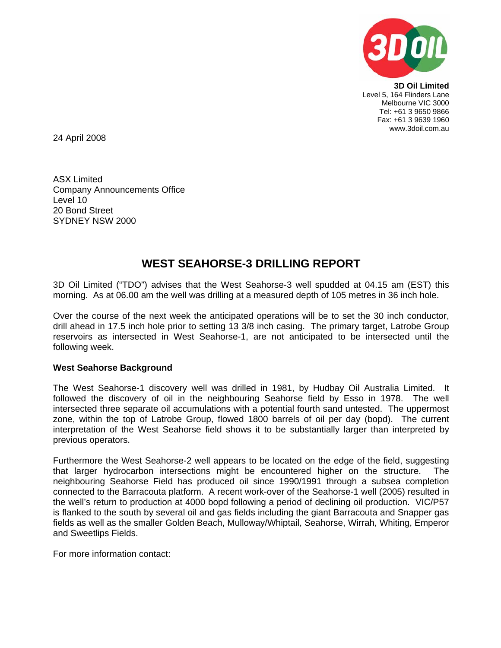

**3D Oil Limited**  Level 5, 164 Flinders Lane Melbourne VIC 3000 Tel: +61 3 9650 9866 Fax: +61 3 9639 1960 www.3doil.com.au

24 April 2008

ASX Limited Company Announcements Office Level 10 20 Bond Street SYDNEY NSW 2000

## **WEST SEAHORSE-3 DRILLING REPORT**

3D Oil Limited ("TDO") advises that the West Seahorse-3 well spudded at 04.15 am (EST) this morning. As at 06.00 am the well was drilling at a measured depth of 105 metres in 36 inch hole.

Over the course of the next week the anticipated operations will be to set the 30 inch conductor, drill ahead in 17.5 inch hole prior to setting 13 3/8 inch casing. The primary target, Latrobe Group reservoirs as intersected in West Seahorse-1, are not anticipated to be intersected until the following week.

## **West Seahorse Background**

The West Seahorse-1 discovery well was drilled in 1981, by Hudbay Oil Australia Limited. It followed the discovery of oil in the neighbouring Seahorse field by Esso in 1978. The well intersected three separate oil accumulations with a potential fourth sand untested. The uppermost zone, within the top of Latrobe Group, flowed 1800 barrels of oil per day (bopd). The current interpretation of the West Seahorse field shows it to be substantially larger than interpreted by previous operators.

Furthermore the West Seahorse-2 well appears to be located on the edge of the field, suggesting that larger hydrocarbon intersections might be encountered higher on the structure. The neighbouring Seahorse Field has produced oil since 1990/1991 through a subsea completion connected to the Barracouta platform. A recent work-over of the Seahorse-1 well (2005) resulted in the well's return to production at 4000 bopd following a period of declining oil production. VIC/P57 is flanked to the south by several oil and gas fields including the giant Barracouta and Snapper gas fields as well as the smaller Golden Beach, Mulloway/Whiptail, Seahorse, Wirrah, Whiting, Emperor and Sweetlips Fields.

For more information contact: